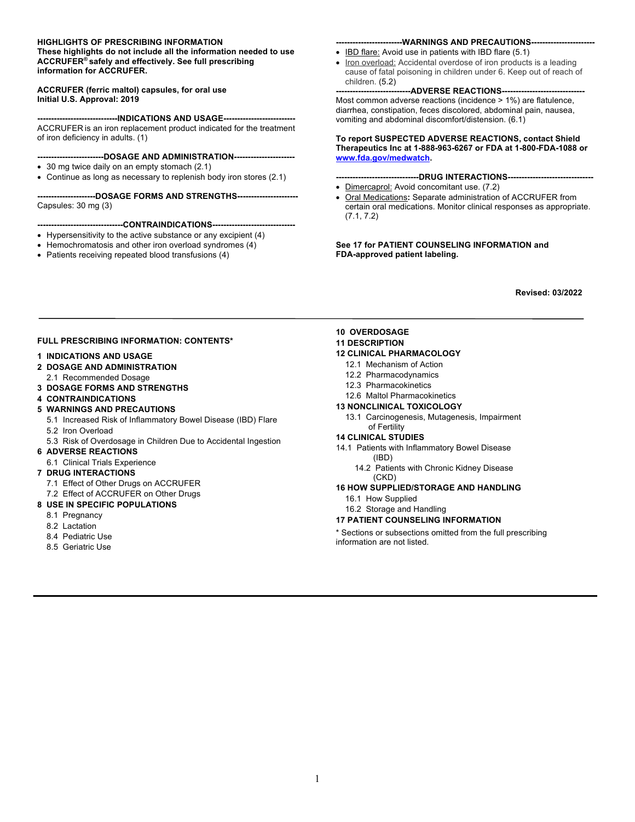#### **HIGHLIGHTS OF PRESCRIBING INFORMATION**

**These highlights do not include all the information needed to use ACCRUFER® safely and effectively. See full prescribing information for ACCRUFER.** 

#### **ACCRUFER (ferric maltol) capsules, for oral use Initial U.S. Approval: 2019**

----INDICATIONS AND USAGE----ACCRUFER is an iron replacement product indicated for the treatment of iron deficiency in adults. (1)

#### **------------------------DOSAGE AND ADMINISTRATION----------------------**

- 30 mg twice daily on an empty stomach (2.1)
- Continue as long as necessary to replenish body iron stores (2.1)

**---------------------DOSAGE FORMS AND STRENGTHS----------------------** Capsules: 30 mg (3)

#### **-------------------------------CONTRAINDICATIONS------------------------------**

- Hypersensitivity to the active substance or any excipient (4)
- Hemochromatosis and other iron overload syndromes (4)
- Patients receiving repeated blood transfusions (4)

#### **------------------------WARNINGS AND PRECAUTIONS-----------------------**

- IBD flare: Avoid use in patients with IBD flare (5.1)
- Iron overload: Accidental overdose of iron products is a leading cause of fatal poisoning in children under 6. Keep out of reach of children. (5.2)

#### **-ADVERSE REACTIONS---**

Most common adverse reactions (incidence > 1%) are flatulence, diarrhea, constipation, feces discolored, abdominal pain, nausea, vomiting and abdominal discomfort/distension. (6.1)

#### **To report SUSPECTED ADVERSE REACTIONS, contact Shield Therapeutics Inc at 1-888-963-6267 or FDA at 1-800-FDA-1088 or www.fda.gov/medwatch.**

- **------------------------------DRUG INTERACTIONS-------------------------------**
- Dimercaprol: Avoid concomitant use. (7.2)
- Oral Medications**:** Separate administration of ACCRUFER from certain oral medications. Monitor clinical responses as appropriate. (7.1, 7.2)

**See 17 for PATIENT COUNSELING INFORMATION and FDA-approved patient labeling.**

**Revised: 03/2022**

#### **FULL PRESCRIBING INFORMATION: CONTENTS\***

#### **1 INDICATIONS AND USAGE**

- **2 DOSAGE AND ADMINISTRATION**
- 2.1 Recommended Dosage
- **3 DOSAGE FORMS AND STRENGTHS**
- **4 CONTRAINDICATIONS**
- **5 WARNINGS AND PRECAUTIONS**
	- 5.1 Increased Risk of Inflammatory Bowel Disease (IBD) Flare 5.2 Iron Overload
	-
	- 5.3 Risk of Overdosage in Children Due to Accidental Ingestion
- **6 ADVERSE REACTIONS**
- 6.1 Clinical Trials Experience
- **7 DRUG INTERACTIONS**
	- 7.1 Effect of Other Drugs on ACCRUFER
	- 7.2 Effect of ACCRUFER on Other Drugs

#### **8 USE IN SPECIFIC POPULATIONS**

- 8.1 Pregnancy
- 8.2 Lactation
- 8.4 Pediatric Use
- 8.5 Geriatric Use

#### **10 OVERDOSAGE**

**11 DESCRIPTION**

#### **12 CLINICAL PHARMACOLOGY**

- 12.1 Mechanism of Action
- 12.2 Pharmacodynamics
- 12.3 Pharmacokinetics
- 12.6 Maltol Pharmacokinetics

#### **13 NONCLINICAL TOXICOLOGY**

13.1 Carcinogenesis, Mutagenesis, Impairment of Fertility

#### **14 CLINICAL STUDIES**

- 14.1 Patients with Inflammatory Bowel Disease (IBD)
	- 14.2 Patients with Chronic Kidney Disease (CKD)

#### **16 HOW SUPPLIED/STORAGE AND HANDLING**

- 16.1 How Supplied
- 16.2 Storage and Handling
- **17 PATIENT COUNSELING INFORMATION**

Sections or subsections omitted from the full prescribing information are not listed.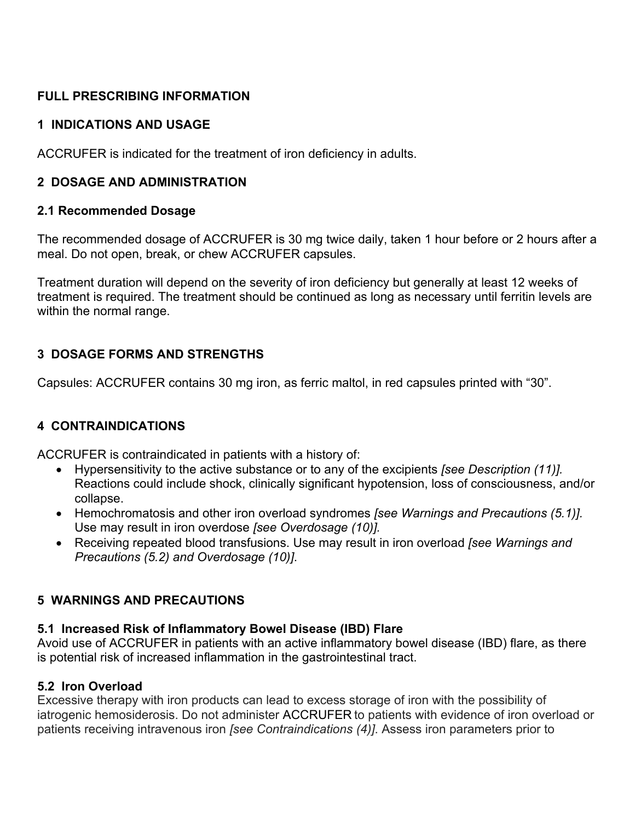# **FULL PRESCRIBING INFORMATION**

## **1 INDICATIONS AND USAGE**

ACCRUFER is indicated for the treatment of iron deficiency in adults.

# **2 DOSAGE AND ADMINISTRATION**

## **2.1 Recommended Dosage**

The recommended dosage of ACCRUFER is 30 mg twice daily, taken 1 hour before or 2 hours after a meal. Do not open, break, or chew ACCRUFER capsules.

Treatment duration will depend on the severity of iron deficiency but generally at least 12 weeks of treatment is required. The treatment should be continued as long as necessary until ferritin levels are within the normal range.

# **3 DOSAGE FORMS AND STRENGTHS**

Capsules: ACCRUFER contains 30 mg iron, as ferric maltol, in red capsules printed with "30".

## **4 CONTRAINDICATIONS**

ACCRUFER is contraindicated in patients with a history of:

- Hypersensitivity to the active substance or to any of the excipients *[see Description (11)].*  Reactions could include shock, clinically significant hypotension, loss of consciousness, and/or collapse.
- Hemochromatosis and other iron overload syndromes *[see Warnings and Precautions (5.1)].* Use may result in iron overdose *[see Overdosage (10)].*
- Receiving repeated blood transfusions. Use may result in iron overload *[see Warnings and Precautions (5.2) and Overdosage (10)]*.

# **5 WARNINGS AND PRECAUTIONS**

# **5.1 Increased Risk of Inflammatory Bowel Disease (IBD) Flare**

Avoid use of ACCRUFER in patients with an active inflammatory bowel disease (IBD) flare, as there is potential risk of increased inflammation in the gastrointestinal tract.

# **5.2 Iron Overload**

Excessive therapy with iron products can lead to excess storage of iron with the possibility of iatrogenic hemosiderosis. Do not administer ACCRUFER to patients with evidence of iron overload or patients receiving intravenous iron *[see Contraindications (4)]*. Assess iron parameters prior to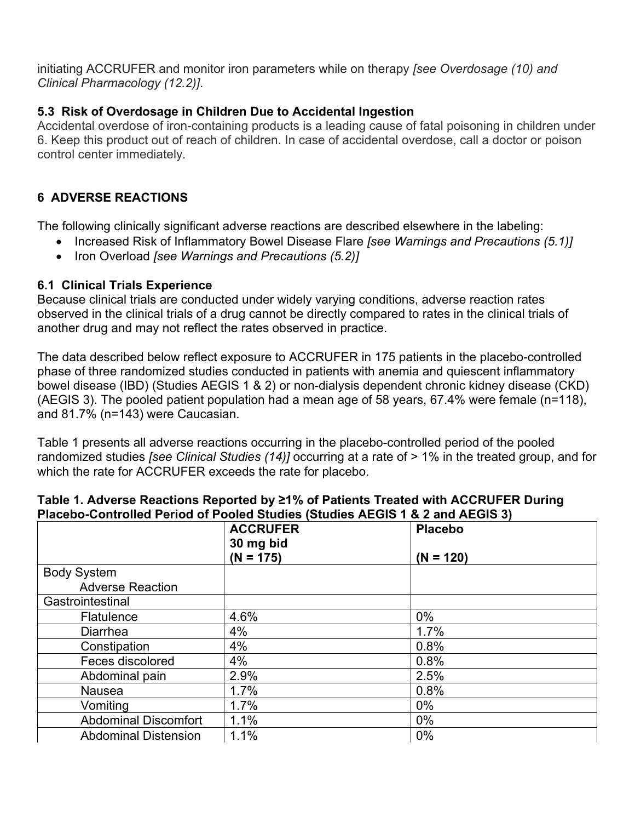initiating ACCRUFER and monitor iron parameters while on therapy *[see Overdosage (10) and Clinical Pharmacology (12.2)]*.

# **5.3 Risk of Overdosage in Children Due to Accidental Ingestion**

Accidental overdose of iron-containing products is a leading cause of fatal poisoning in children under 6. Keep this product out of reach of children. In case of accidental overdose, call a doctor or poison control center immediately.

# **6 ADVERSE REACTIONS**

The following clinically significant adverse reactions are described elsewhere in the labeling:

- Increased Risk of Inflammatory Bowel Disease Flare *[see Warnings and Precautions (5.1)]*
- Iron Overload *[see Warnings and Precautions (5.2)]*

## **6.1 Clinical Trials Experience**

Because clinical trials are conducted under widely varying conditions, adverse reaction rates observed in the clinical trials of a drug cannot be directly compared to rates in the clinical trials of another drug and may not reflect the rates observed in practice.

The data described below reflect exposure to ACCRUFER in 175 patients in the placebo-controlled phase of three randomized studies conducted in patients with anemia and quiescent inflammatory bowel disease (IBD) (Studies AEGIS 1 & 2) or non-dialysis dependent chronic kidney disease (CKD) (AEGIS 3). The pooled patient population had a mean age of 58 years, 67.4% were female (n=118), and 81.7% (n=143) were Caucasian.

Table 1 presents all adverse reactions occurring in the placebo-controlled period of the pooled randomized studies *[see Clinical Studies (14)]* occurring at a rate of > 1% in the treated group, and for which the rate for ACCRUFER exceeds the rate for placebo.

|                             | <b>ACCRUFER</b><br>30 mg bid | <b>Placebo</b> |
|-----------------------------|------------------------------|----------------|
|                             | $(N = 175)$                  | $(N = 120)$    |
| <b>Body System</b>          |                              |                |
| <b>Adverse Reaction</b>     |                              |                |
| Gastrointestinal            |                              |                |
| <b>Flatulence</b>           | 4.6%                         | $0\%$          |
| <b>Diarrhea</b>             | 4%                           | 1.7%           |
| Constipation                | 4%                           | 0.8%           |
| Feces discolored            | 4%                           | 0.8%           |
| Abdominal pain              | 2.9%                         | 2.5%           |
| Nausea                      | 1.7%                         | 0.8%           |
| Vomiting                    | 1.7%                         | $0\%$          |
| <b>Abdominal Discomfort</b> | 1.1%                         | $0\%$          |
| <b>Abdominal Distension</b> | 1.1%                         | $0\%$          |

### **Table 1. Adverse Reactions Reported by ≥1% of Patients Treated with ACCRUFER During Placebo-Controlled Period of Pooled Studies (Studies AEGIS 1 & 2 and AEGIS 3)**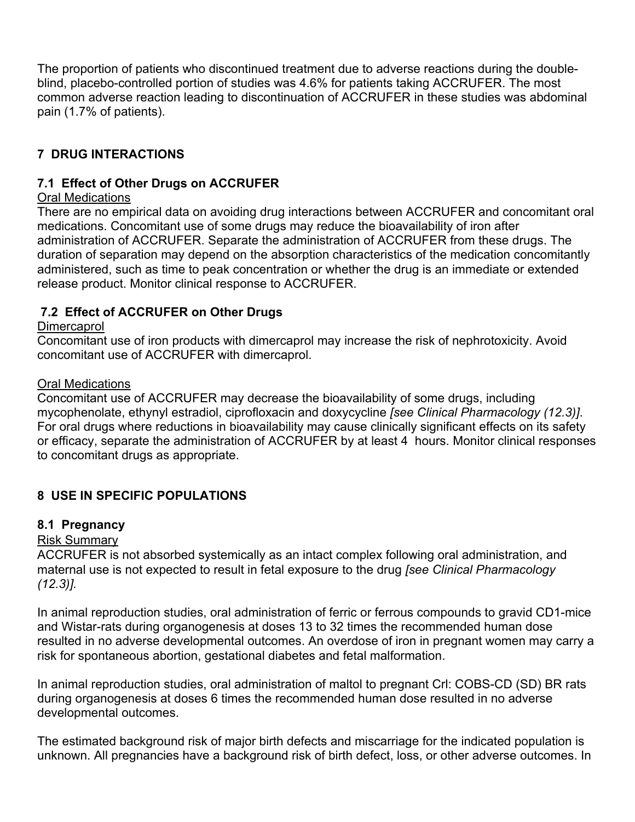The proportion of patients who discontinued treatment due to adverse reactions during the doubleblind, placebo-controlled portion of studies was 4.6% for patients taking ACCRUFER. The most common adverse reaction leading to discontinuation of ACCRUFER in these studies was abdominal pain (1.7% of patients).

# **7 DRUG INTERACTIONS**

## **7.1 Effect of Other Drugs on ACCRUFER**

## Oral Medications

There are no empirical data on avoiding drug interactions between ACCRUFER and concomitant oral medications. Concomitant use of some drugs may reduce the bioavailability of iron after administration of ACCRUFER. Separate the administration of ACCRUFER from these drugs. The duration of separation may depend on the absorption characteristics of the medication concomitantly administered, such as time to peak concentration or whether the drug is an immediate or extended release product. Monitor clinical response to ACCRUFER.

## **7.2 Effect of ACCRUFER on Other Drugs**

## **Dimercaprol**

Concomitant use of iron products with dimercaprol may increase the risk of nephrotoxicity. Avoid concomitant use of ACCRUFER with dimercaprol.

## Oral Medications

Concomitant use of ACCRUFER may decrease the bioavailability of some drugs, including mycophenolate, ethynyl estradiol, ciprofloxacin and doxycycline *[see Clinical Pharmacology (12.3)]*. For oral drugs where reductions in bioavailability may cause clinically significant effects on its safety or efficacy, separate the administration of ACCRUFER by at least 4 hours. Monitor clinical responses to concomitant drugs as appropriate.

# **8 USE IN SPECIFIC POPULATIONS**

## **8.1 Pregnancy**

### Risk Summary

ACCRUFER is not absorbed systemically as an intact complex following oral administration, and maternal use is not expected to result in fetal exposure to the drug *[see Clinical Pharmacology (12.3)].*

In animal reproduction studies, oral administration of ferric or ferrous compounds to gravid CD1-mice and Wistar-rats during organogenesis at doses 13 to 32 times the recommended human dose resulted in no adverse developmental outcomes. An overdose of iron in pregnant women may carry a risk for spontaneous abortion, gestational diabetes and fetal malformation.

In animal reproduction studies, oral administration of maltol to pregnant Crl: COBS-CD (SD) BR rats during organogenesis at doses 6 times the recommended human dose resulted in no adverse developmental outcomes.

The estimated background risk of major birth defects and miscarriage for the indicated population is unknown. All pregnancies have a background risk of birth defect, loss, or other adverse outcomes. In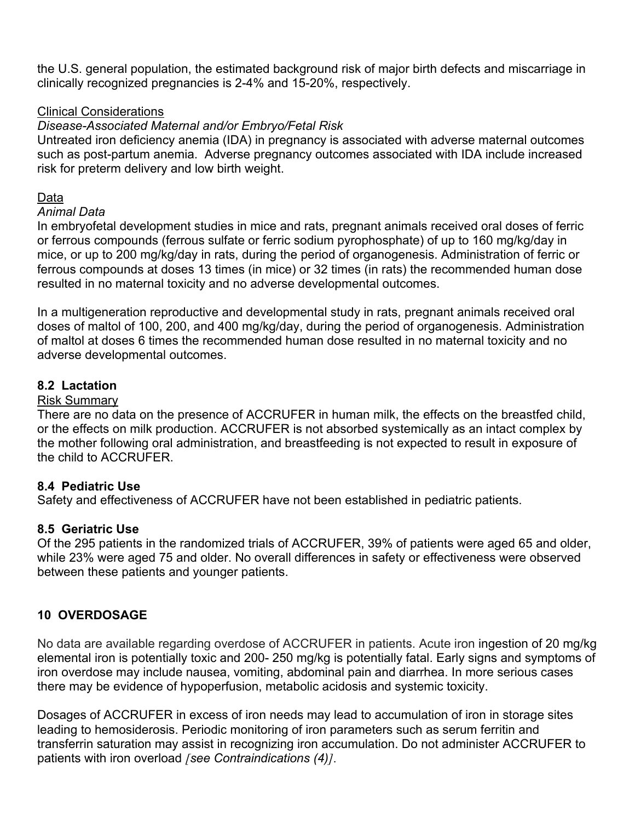the U.S. general population, the estimated background risk of major birth defects and miscarriage in clinically recognized pregnancies is 2-4% and 15-20%, respectively.

### Clinical Considerations

#### *Disease-Associated Maternal and/or Embryo/Fetal Risk*

Untreated iron deficiency anemia (IDA) in pregnancy is associated with adverse maternal outcomes such as post-partum anemia. Adverse pregnancy outcomes associated with IDA include increased risk for preterm delivery and low birth weight.

#### Data

#### *Animal Data*

In embryofetal development studies in mice and rats, pregnant animals received oral doses of ferric or ferrous compounds (ferrous sulfate or ferric sodium pyrophosphate) of up to 160 mg/kg/day in mice, or up to 200 mg/kg/day in rats, during the period of organogenesis. Administration of ferric or ferrous compounds at doses 13 times (in mice) or 32 times (in rats) the recommended human dose resulted in no maternal toxicity and no adverse developmental outcomes.

In a multigeneration reproductive and developmental study in rats, pregnant animals received oral doses of maltol of 100, 200, and 400 mg/kg/day, during the period of organogenesis. Administration of maltol at doses 6 times the recommended human dose resulted in no maternal toxicity and no adverse developmental outcomes.

#### **8.2 Lactation**

#### Risk Summary

There are no data on the presence of ACCRUFER in human milk, the effects on the breastfed child, or the effects on milk production. ACCRUFER is not absorbed systemically as an intact complex by the mother following oral administration, and breastfeeding is not expected to result in exposure of the child to ACCRUFER.

### **8.4 Pediatric Use**

Safety and effectiveness of ACCRUFER have not been established in pediatric patients.

#### **8.5 Geriatric Use**

Of the 295 patients in the randomized trials of ACCRUFER, 39% of patients were aged 65 and older, while 23% were aged 75 and older. No overall differences in safety or effectiveness were observed between these patients and younger patients.

### **10 OVERDOSAGE**

No data are available regarding overdose of ACCRUFER in patients. Acute iron ingestion of 20 mg/kg elemental iron is potentially toxic and 200- 250 mg/kg is potentially fatal. Early signs and symptoms of iron overdose may include nausea, vomiting, abdominal pain and diarrhea. In more serious cases there may be evidence of hypoperfusion, metabolic acidosis and systemic toxicity.

Dosages of ACCRUFER in excess of iron needs may lead to accumulation of iron in storage sites leading to hemosiderosis. Periodic monitoring of iron parameters such as serum ferritin and transferrin saturation may assist in recognizing iron accumulation. Do not administer ACCRUFER to patients with iron overload *[see Contraindications (4)]*.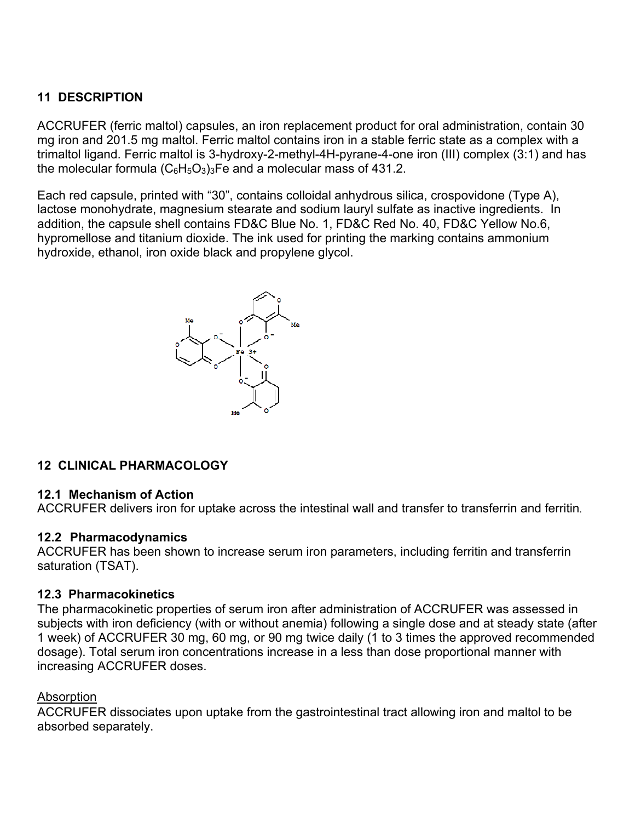# **11 DESCRIPTION**

ACCRUFER (ferric maltol) capsules, an iron replacement product for oral administration, contain 30 mg iron and 201.5 mg maltol. Ferric maltol contains iron in a stable ferric state as a complex with a trimaltol ligand. Ferric maltol is 3-hydroxy-2-methyl-4H-pyrane-4-one iron (III) complex (3:1) and has the molecular formula  $(C_6H_5O_3)_3$  Fe and a molecular mass of 431.2.

Each red capsule, printed with "30", contains colloidal anhydrous silica, crospovidone (Type A), lactose monohydrate, magnesium stearate and sodium lauryl sulfate as inactive ingredients. In addition, the capsule shell contains FD&C Blue No. 1, FD&C Red No. 40, FD&C Yellow No.6, hypromellose and titanium dioxide. The ink used for printing the marking contains ammonium hydroxide, ethanol, iron oxide black and propylene glycol.



## **12 CLINICAL PHARMACOLOGY**

### **12.1 Mechanism of Action**

ACCRUFER delivers iron for uptake across the intestinal wall and transfer to transferrin and ferritin.

### **12.2 Pharmacodynamics**

ACCRUFER has been shown to increase serum iron parameters, including ferritin and transferrin saturation (TSAT).

### **12.3 Pharmacokinetics**

The pharmacokinetic properties of serum iron after administration of ACCRUFER was assessed in subjects with iron deficiency (with or without anemia) following a single dose and at steady state (after 1 week) of ACCRUFER 30 mg, 60 mg, or 90 mg twice daily (1 to 3 times the approved recommended dosage). Total serum iron concentrations increase in a less than dose proportional manner with increasing ACCRUFER doses.

### Absorption

ACCRUFER dissociates upon uptake from the gastrointestinal tract allowing iron and maltol to be absorbed separately.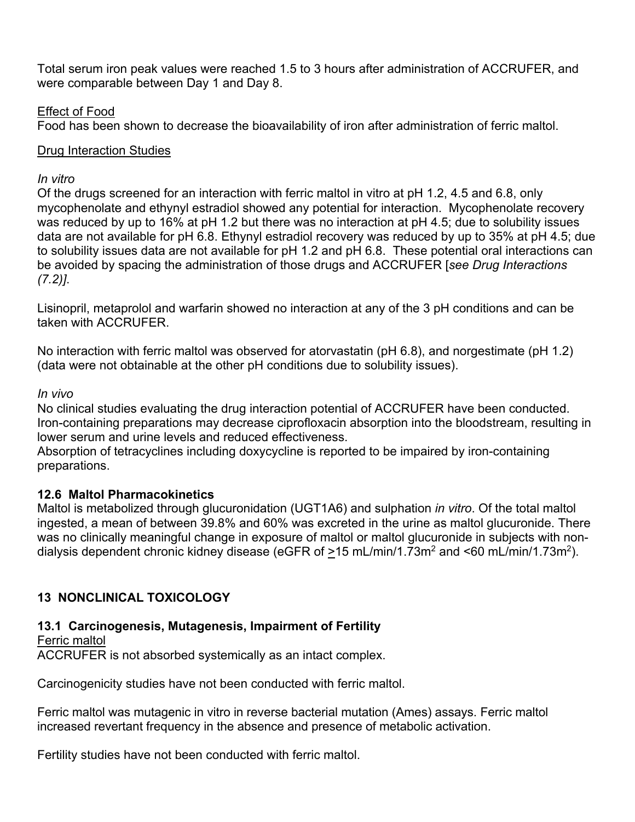Total serum iron peak values were reached 1.5 to 3 hours after administration of ACCRUFER, and were comparable between Day 1 and Day 8.

## Effect of Food

Food has been shown to decrease the bioavailability of iron after administration of ferric maltol.

## Drug Interaction Studies

### *In vitro*

Of the drugs screened for an interaction with ferric maltol in vitro at pH 1.2, 4.5 and 6.8, only mycophenolate and ethynyl estradiol showed any potential for interaction. Mycophenolate recovery was reduced by up to 16% at pH 1.2 but there was no interaction at pH 4.5; due to solubility issues data are not available for pH 6.8. Ethynyl estradiol recovery was reduced by up to 35% at pH 4.5; due to solubility issues data are not available for pH 1.2 and pH 6.8. These potential oral interactions can be avoided by spacing the administration of those drugs and ACCRUFER [*see Drug Interactions (7.2)]*.

Lisinopril, metaprolol and warfarin showed no interaction at any of the 3 pH conditions and can be taken with ACCRUFER.

No interaction with ferric maltol was observed for atorvastatin (pH 6.8), and norgestimate (pH 1.2) (data were not obtainable at the other pH conditions due to solubility issues).

## *In vivo*

No clinical studies evaluating the drug interaction potential of ACCRUFER have been conducted. Iron-containing preparations may decrease ciprofloxacin absorption into the bloodstream, resulting in lower serum and urine levels and reduced effectiveness.

Absorption of tetracyclines including doxycycline is reported to be impaired by iron-containing preparations.

## **12.6 Maltol Pharmacokinetics**

Maltol is metabolized through glucuronidation (UGT1A6) and sulphation *in vitro*. Of the total maltol ingested, a mean of between 39.8% and 60% was excreted in the urine as maltol glucuronide. There was no clinically meaningful change in exposure of maltol or maltol glucuronide in subjects with nondialysis dependent chronic kidney disease (eGFR of >15 mL/min/1.73m<sup>2</sup> and <60 mL/min/1.73m<sup>2</sup>).

# **13 NONCLINICAL TOXICOLOGY**

## **13.1 Carcinogenesis, Mutagenesis, Impairment of Fertility**

Ferric maltol ACCRUFER is not absorbed systemically as an intact complex.

Carcinogenicity studies have not been conducted with ferric maltol.

Ferric maltol was mutagenic in vitro in reverse bacterial mutation (Ames) assays. Ferric maltol increased revertant frequency in the absence and presence of metabolic activation.

Fertility studies have not been conducted with ferric maltol.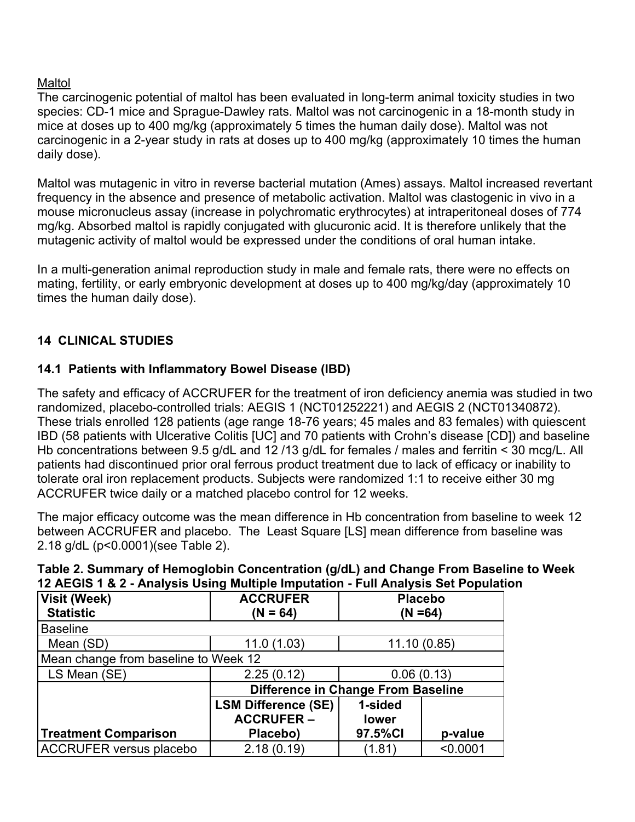## Maltol

The carcinogenic potential of maltol has been evaluated in long-term animal toxicity studies in two species: CD-1 mice and Sprague-Dawley rats. Maltol was not carcinogenic in a 18-month study in mice at doses up to 400 mg/kg (approximately 5 times the human daily dose). Maltol was not carcinogenic in a 2-year study in rats at doses up to 400 mg/kg (approximately 10 times the human daily dose).

Maltol was mutagenic in vitro in reverse bacterial mutation (Ames) assays. Maltol increased revertant frequency in the absence and presence of metabolic activation. Maltol was clastogenic in vivo in a mouse micronucleus assay (increase in polychromatic erythrocytes) at intraperitoneal doses of 774 mg/kg. Absorbed maltol is rapidly conjugated with glucuronic acid. It is therefore unlikely that the mutagenic activity of maltol would be expressed under the conditions of oral human intake.

In a multi-generation animal reproduction study in male and female rats, there were no effects on mating, fertility, or early embryonic development at doses up to 400 mg/kg/day (approximately 10 times the human daily dose).

# **14 CLINICAL STUDIES**

## **14.1 Patients with Inflammatory Bowel Disease (IBD)**

The safety and efficacy of ACCRUFER for the treatment of iron deficiency anemia was studied in two randomized, placebo-controlled trials: AEGIS 1 (NCT01252221) and AEGIS 2 (NCT01340872). These trials enrolled 128 patients (age range 18-76 years; 45 males and 83 females) with quiescent IBD (58 patients with Ulcerative Colitis [UC] and 70 patients with Crohn's disease [CD]) and baseline Hb concentrations between 9.5 g/dL and 12 /13 g/dL for females / males and ferritin < 30 mcg/L. All patients had discontinued prior oral ferrous product treatment due to lack of efficacy or inability to tolerate oral iron replacement products. Subjects were randomized 1:1 to receive either 30 mg ACCRUFER twice daily or a matched placebo control for 12 weeks.

The major efficacy outcome was the mean difference in Hb concentration from baseline to week 12 between ACCRUFER and placebo. The Least Square [LS] mean difference from baseline was 2.18 g/dL (p<0.0001)(see Table 2).

| .                                    | $\sim$ $\sim$ $\sim$ $\sim$ $\sim$ $\sim$ $\sim$ $\sim$ |                              |          |  |  |
|--------------------------------------|---------------------------------------------------------|------------------------------|----------|--|--|
| Visit (Week)<br><b>Statistic</b>     | <b>ACCRUFER</b><br>$(N = 64)$                           | <b>Placebo</b><br>$(N = 64)$ |          |  |  |
| <b>Baseline</b>                      |                                                         |                              |          |  |  |
| Mean (SD)                            | 11.0(1.03)                                              | 11.10(0.85)                  |          |  |  |
| Mean change from baseline to Week 12 |                                                         |                              |          |  |  |
| LS Mean (SE)                         | 2.25(0.12)                                              | 0.06(0.13)                   |          |  |  |
|                                      | Difference in Change From Baseline                      |                              |          |  |  |
|                                      | <b>LSM Difference (SE)</b>                              | 1-sided                      |          |  |  |
|                                      | <b>ACCRUFER-</b>                                        | lower                        |          |  |  |
| <b>Treatment Comparison</b>          | Placebo)                                                | 97.5%CI                      | p-value  |  |  |
| <b>ACCRUFER versus placebo</b>       | 2.18(0.19)                                              | (1.81)                       | < 0.0001 |  |  |

## **Table 2. Summary of Hemoglobin Concentration (g/dL) and Change From Baseline to Week 12 AEGIS 1 & 2 - Analysis Using Multiple Imputation - Full Analysis Set Population**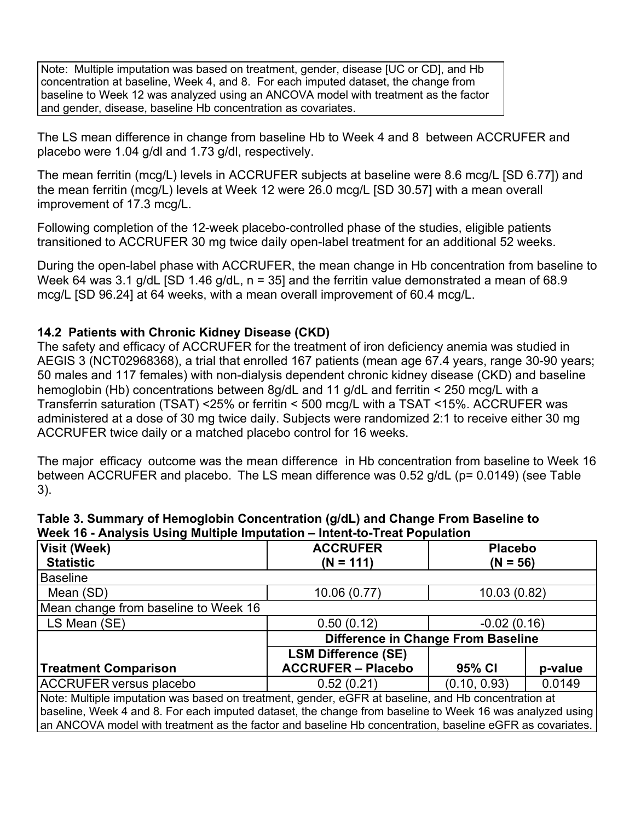Note: Multiple imputation was based on treatment, gender, disease [UC or CD], and Hb concentration at baseline, Week 4, and 8. For each imputed dataset, the change from baseline to Week 12 was analyzed using an ANCOVA model with treatment as the factor and gender, disease, baseline Hb concentration as covariates.

The LS mean difference in change from baseline Hb to Week 4 and 8 between ACCRUFER and placebo were 1.04 g/dl and 1.73 g/dl, respectively.

The mean ferritin (mcg/L) levels in ACCRUFER subjects at baseline were 8.6 mcg/L [SD 6.77]) and the mean ferritin (mcg/L) levels at Week 12 were 26.0 mcg/L [SD 30.57] with a mean overall improvement of 17.3 mcg/L.

Following completion of the 12-week placebo-controlled phase of the studies, eligible patients transitioned to ACCRUFER 30 mg twice daily open-label treatment for an additional 52 weeks.

During the open-label phase with ACCRUFER, the mean change in Hb concentration from baseline to Week 64 was 3.1 g/dL [SD 1.46 g/dL,  $n = 35$ ] and the ferritin value demonstrated a mean of 68.9 mcg/L [SD 96.24] at 64 weeks, with a mean overall improvement of 60.4 mcg/L.

## **14.2 Patients with Chronic Kidney Disease (CKD)**

The safety and efficacy of ACCRUFER for the treatment of iron deficiency anemia was studied in AEGIS 3 (NCT02968368), a trial that enrolled 167 patients (mean age 67.4 years, range 30-90 years; 50 males and 117 females) with non-dialysis dependent chronic kidney disease (CKD) and baseline hemoglobin (Hb) concentrations between 8g/dL and 11 g/dL and ferritin < 250 mcg/L with a Transferrin saturation (TSAT) <25% or ferritin < 500 mcg/L with a TSAT <15%. ACCRUFER was administered at a dose of 30 mg twice daily. Subjects were randomized 2:1 to receive either 30 mg ACCRUFER twice daily or a matched placebo control for 16 weeks.

The major efficacy outcome was the mean difference in Hb concentration from baseline to Week 16 between ACCRUFER and placebo. The LS mean difference was 0.52 g/dL (p= 0.0149) (see Table 3).

| Table 3. Summary of Hemoglobin Concentration (g/dL) and Change From Baseline to |
|---------------------------------------------------------------------------------|
| Week 16 - Analysis Using Multiple Imputation – Intent-to-Treat Population       |

| <b>Visit (Week)</b>                                                                                      | <b>ACCRUFER</b>                    | <b>Placebo</b><br>$(N = 56)$ |         |  |  |
|----------------------------------------------------------------------------------------------------------|------------------------------------|------------------------------|---------|--|--|
| <b>Statistic</b>                                                                                         | $(N = 111)$                        |                              |         |  |  |
| <b>Baseline</b>                                                                                          |                                    |                              |         |  |  |
| Mean (SD)                                                                                                | 10.06(0.77)                        | 10.03 (0.82)                 |         |  |  |
| Mean change from baseline to Week 16                                                                     |                                    |                              |         |  |  |
| LS Mean (SE)                                                                                             | 0.50(0.12)                         | $-0.02(0.16)$                |         |  |  |
|                                                                                                          | Difference in Change From Baseline |                              |         |  |  |
|                                                                                                          | <b>LSM Difference (SE)</b>         |                              |         |  |  |
| <b>Treatment Comparison</b>                                                                              | <b>ACCRUFER - Placebo</b>          | 95% CI                       | p-value |  |  |
| <b>ACCRUFER versus placebo</b>                                                                           | 0.52(0.21)                         | (0.10, 0.93)                 | 0.0149  |  |  |
| Note: Multiple imputation was based on treatment, gender, eGFR at baseline, and Hb concentration at      |                                    |                              |         |  |  |
| baseline, Week 4 and 8. For each imputed dataset, the change from baseline to Week 16 was analyzed using |                                    |                              |         |  |  |
| an ANCOVA model with treatment as the factor and baseline Hb concentration, baseline eGFR as covariates. |                                    |                              |         |  |  |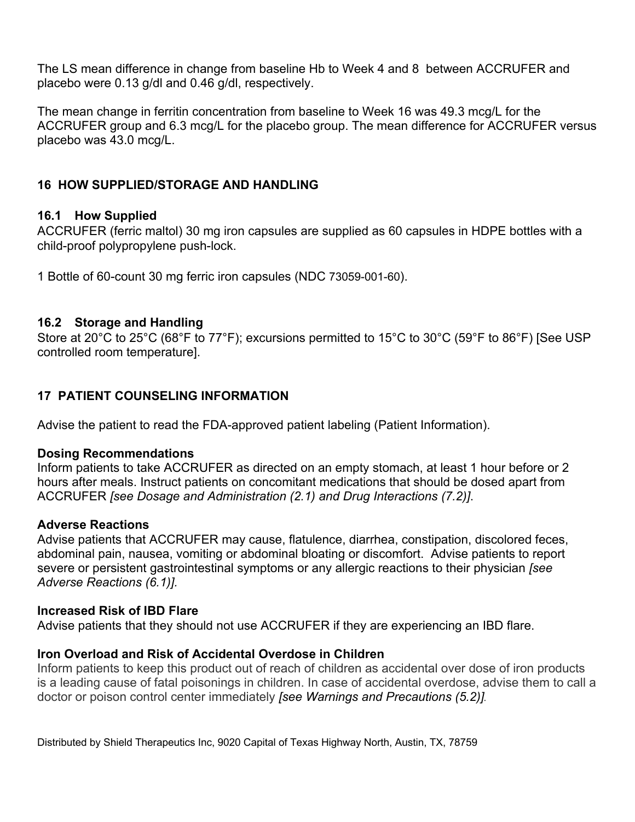The LS mean difference in change from baseline Hb to Week 4 and 8 between ACCRUFER and placebo were 0.13 g/dl and 0.46 g/dl, respectively.

The mean change in ferritin concentration from baseline to Week 16 was 49.3 mcg/L for the ACCRUFER group and 6.3 mcg/L for the placebo group. The mean difference for ACCRUFER versus placebo was 43.0 mcg/L.

## **16 HOW SUPPLIED/STORAGE AND HANDLING**

## **16.1 How Supplied**

ACCRUFER (ferric maltol) 30 mg iron capsules are supplied as 60 capsules in HDPE bottles with a child-proof polypropylene push-lock.

1 Bottle of 60-count 30 mg ferric iron capsules (NDC 73059-001-60).

### **16.2 Storage and Handling**

Store at 20°C to 25°C (68°F to 77°F); excursions permitted to 15°C to 30°C (59°F to 86°F) [See USP controlled room temperature].

# **17 PATIENT COUNSELING INFORMATION**

Advise the patient to read the FDA-approved patient labeling (Patient Information).

### **Dosing Recommendations**

Inform patients to take ACCRUFER as directed on an empty stomach, at least 1 hour before or 2 hours after meals. Instruct patients on concomitant medications that should be dosed apart from ACCRUFER *[see Dosage and Administration (2.1) and Drug Interactions (7.2)]*.

### **Adverse Reactions**

Advise patients that ACCRUFER may cause, flatulence, diarrhea, constipation, discolored feces, abdominal pain, nausea, vomiting or abdominal bloating or discomfort. Advise patients to report severe or persistent gastrointestinal symptoms or any allergic reactions to their physician *[see Adverse Reactions (6.1)].* 

### **Increased Risk of IBD Flare**

Advise patients that they should not use ACCRUFER if they are experiencing an IBD flare.

## **Iron Overload and Risk of Accidental Overdose in Children**

Inform patients to keep this product out of reach of children as accidental over dose of iron products is a leading cause of fatal poisonings in children. In case of accidental overdose, advise them to call a doctor or poison control center immediately *[see Warnings and Precautions (5.2)].*

Distributed by Shield Therapeutics Inc, 9020 Capital of Texas Highway North, Austin, TX, 78759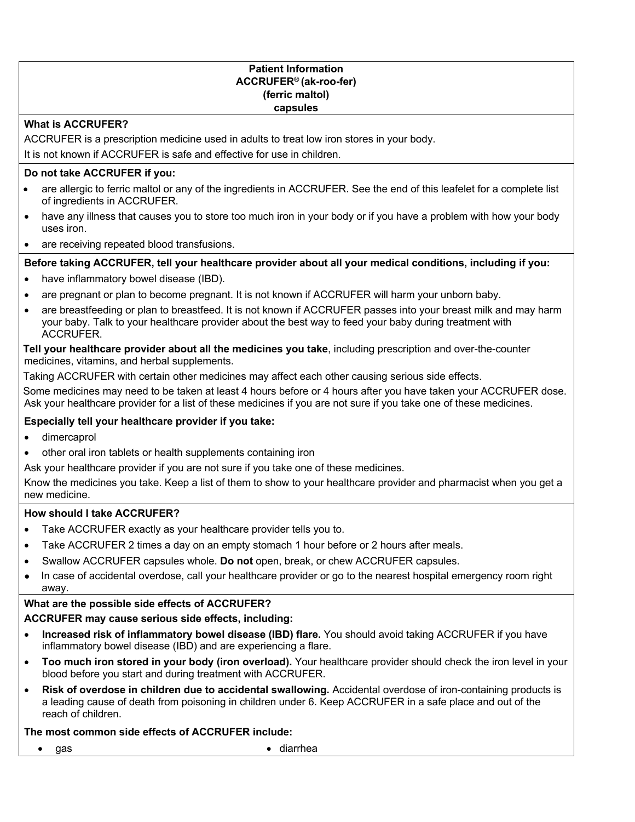#### **Patient Information ACCRUFER® (ak-roo-fer) (ferric maltol) capsules**

#### **What is ACCRUFER?**

ACCRUFER is a prescription medicine used in adults to treat low iron stores in your body. It is not known if ACCRUFER is safe and effective for use in children.

#### **Do not take ACCRUFER if you:**

- are allergic to ferric maltol or any of the ingredients in ACCRUFER. See the end of this leafelet for a complete list of ingredients in ACCRUFER.
- have any illness that causes you to store too much iron in your body or if you have a problem with how your body uses iron.
- are receiving repeated blood transfusions.

#### **Before taking ACCRUFER, tell your healthcare provider about all your medical conditions, including if you:**

- have inflammatory bowel disease (IBD).
- are pregnant or plan to become pregnant. It is not known if ACCRUFER will harm your unborn baby.
- are breastfeeding or plan to breastfeed. It is not known if ACCRUFER passes into your breast milk and may harm your baby. Talk to your healthcare provider about the best way to feed your baby during treatment with ACCRUFER.

**Tell your healthcare provider about all the medicines you take**, including prescription and over-the-counter medicines, vitamins, and herbal supplements.

Taking ACCRUFER with certain other medicines may affect each other causing serious side effects.

Some medicines may need to be taken at least 4 hours before or 4 hours after you have taken your ACCRUFER dose. Ask your healthcare provider for a list of these medicines if you are not sure if you take one of these medicines.

#### **Especially tell your healthcare provider if you take:**

- dimercaprol
- other oral iron tablets or health supplements containing iron

Ask your healthcare provider if you are not sure if you take one of these medicines.

Know the medicines you take. Keep a list of them to show to your healthcare provider and pharmacist when you get a new medicine.

#### **How should I take ACCRUFER?**

- Take ACCRUFER exactly as your healthcare provider tells you to.
- Take ACCRUFER 2 times a day on an empty stomach 1 hour before or 2 hours after meals.
- Swallow ACCRUFER capsules whole. **Do not** open, break, or chew ACCRUFER capsules.
- In case of accidental overdose, call your healthcare provider or go to the nearest hospital emergency room right away.

#### **What are the possible side effects of ACCRUFER?**

#### **ACCRUFER may cause serious side effects, including:**

- **Increased risk of inflammatory bowel disease (IBD) flare.** You should avoid taking ACCRUFER if you have inflammatory bowel disease (IBD) and are experiencing a flare.
- **Too much iron stored in your body (iron overload).** Your healthcare provider should check the iron level in your blood before you start and during treatment with ACCRUFER.
- **Risk of overdose in children due to accidental swallowing.** Accidental overdose of iron-containing products is a leading cause of death from poisoning in children under 6. Keep ACCRUFER in a safe place and out of the reach of children.

### **The most common side effects of ACCRUFER include:**

• gas • diarrhea